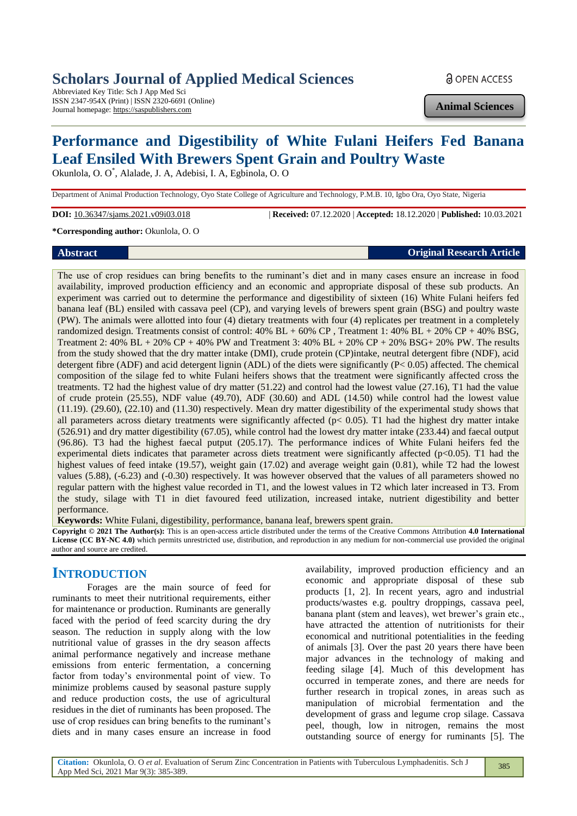# **Scholars Journal of Applied Medical Sciences**

Abbreviated Key Title: Sch J App Med Sci ISSN 2347-954X (Print) | ISSN 2320-6691 (Online) Journal homepage: https://saspublishers.com

**a** OPEN ACCESS

**Animal Sciences**

# **Performance and Digestibility of White Fulani Heifers Fed Banana Leaf Ensiled With Brewers Spent Grain and Poultry Waste**

Okunlola, O. O\* , Alalade, J. A, Adebisi, I. A, Egbinola, O. O

Department of Animal Production Technology, Oyo State College of Agriculture and Technology, P.M.B. 10, Igbo Ora, Oyo State, Nigeria

**DOI:** 10.36347/sjams.2021.v09i03.018 | **Received:** 07.12.2020 | **Accepted:** 18.12.2020 | **Published:** 10.03.2021

**\*Corresponding author:** Okunlola, O. O

### **Abstract Original Research Article**

The use of crop residues can bring benefits to the ruminant's diet and in many cases ensure an increase in food availability, improved production efficiency and an economic and appropriate disposal of these sub products. An experiment was carried out to determine the performance and digestibility of sixteen (16) White Fulani heifers fed banana leaf (BL) ensiled with cassava peel (CP), and varying levels of brewers spent grain (BSG) and poultry waste (PW). The animals were allotted into four (4) dietary treatments with four (4) replicates per treatment in a completely randomized design. Treatments consist of control: 40% BL + 60% CP , Treatment 1: 40% BL + 20% CP + 40% BSG, Treatment 2:  $40\%$  BL +  $20\%$  CP +  $40\%$  PW and Treatment 3:  $40\%$  BL +  $20\%$  CP +  $20\%$  BSG+  $20\%$  PW. The results

from the study showed that the dry matter intake (DMI), crude protein (CP)intake, neutral detergent fibre (NDF), acid detergent fibre (ADF) and acid detergent lignin (ADL) of the diets were significantly (P< 0.05) affected. The chemical composition of the silage fed to white Fulani heifers shows that the treatment were significantly affected cross the treatments. T2 had the highest value of dry matter (51.22) and control had the lowest value (27.16), T1 had the value of crude protein (25.55), NDF value (49.70), ADF (30.60) and ADL (14.50) while control had the lowest value (11.19). (29.60), (22.10) and (11.30) respectively. Mean dry matter digestibility of the experimental study shows that all parameters across dietary treatments were significantly affected ( $p$ < 0.05). T1 had the highest dry matter intake (526.91) and dry matter digestibility (67.05), while control had the lowest dry matter intake (233.44) and faecal output (96.86). T3 had the highest faecal putput (205.17). The performance indices of White Fulani heifers fed the experimental diets indicates that parameter across diets treatment were significantly affected ( $p<0.05$ ). T1 had the highest values of feed intake (19.57), weight gain (17.02) and average weight gain (0.81), while T2 had the lowest values (5.88), (-6.23) and (-0.30) respectively. It was however observed that the values of all parameters showed no regular pattern with the highest value recorded in T1, and the lowest values in T2 which later increased in T3. From the study, silage with T1 in diet favoured feed utilization, increased intake, nutrient digestibility and better performance.

**Keywords:** White Fulani, digestibility, performance, banana leaf, brewers spent grain.

**Copyright © 2021 The Author(s):** This is an open-access article distributed under the terms of the Creative Commons Attribution **4.0 International License (CC BY-NC 4.0)** which permits unrestricted use, distribution, and reproduction in any medium for non-commercial use provided the original author and source are credited.

## **INTRODUCTION**

Forages are the main source of feed for ruminants to meet their nutritional requirements, either for maintenance or production. Ruminants are generally faced with the period of feed scarcity during the dry season. The reduction in supply along with the low nutritional value of grasses in the dry season affects animal performance negatively and increase methane emissions from enteric fermentation, a concerning factor from today's environmental point of view. To minimize problems caused by seasonal pasture supply and reduce production costs, the use of agricultural residues in the diet of ruminants has been proposed. The use of crop residues can bring benefits to the ruminant's diets and in many cases ensure an increase in food

availability, improved production efficiency and an economic and appropriate disposal of these sub products [1, 2]. In recent years, agro and industrial products/wastes e.g. poultry droppings, cassava peel, banana plant (stem and leaves), wet brewer's grain etc., have attracted the attention of nutritionists for their economical and nutritional potentialities in the feeding of animals [3]. Over the past 20 years there have been major advances in the technology of making and feeding silage [4]. Much of this development has occurred in temperate zones, and there are needs for further research in tropical zones, in areas such as manipulation of microbial fermentation and the development of grass and legume crop silage. Cassava peel, though, low in nitrogen, remains the most outstanding source of energy for ruminants [5]. The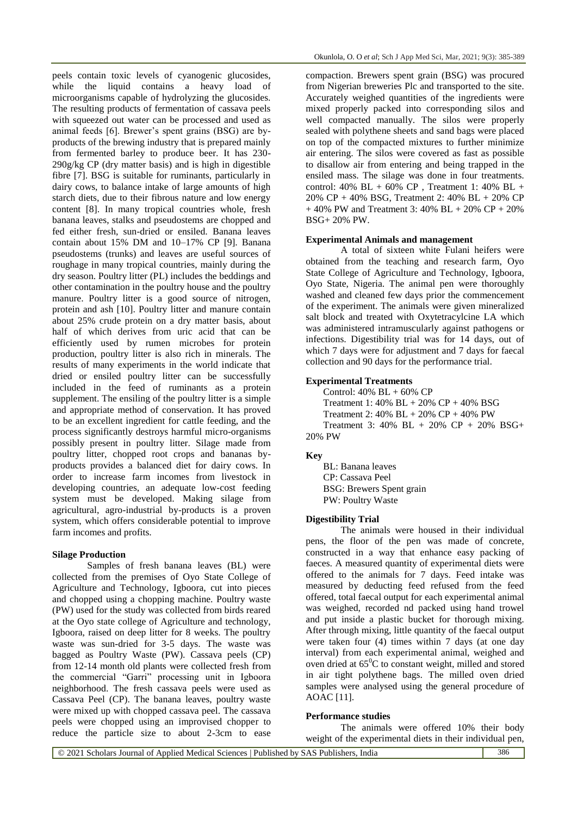peels contain toxic levels of cyanogenic glucosides, while the liquid contains a heavy load of microorganisms capable of hydrolyzing the glucosides. The resulting products of fermentation of cassava peels with squeezed out water can be processed and used as animal feeds [6]. Brewer's spent grains (BSG) are byproducts of the brewing industry that is prepared mainly from fermented barley to produce beer. It has 230- 290g/kg CP (dry matter basis) and is high in digestible fibre [7]. BSG is suitable for ruminants, particularly in dairy cows, to balance intake of large amounts of high starch diets, due to their fibrous nature and low energy content [8]. In many tropical countries whole, fresh banana leaves, stalks and pseudostems are chopped and fed either fresh, sun-dried or ensiled. Banana leaves contain about 15% DM and 10–17% CP [9]. Banana pseudostems (trunks) and leaves are useful sources of roughage in many tropical countries, mainly during the dry season. Poultry litter (PL) includes the beddings and other contamination in the poultry house and the poultry manure. Poultry litter is a good source of nitrogen, protein and ash [10]. Poultry litter and manure contain about 25% crude protein on a dry matter basis, about half of which derives from uric acid that can be efficiently used by rumen microbes for protein production, poultry litter is also rich in minerals. The results of many experiments in the world indicate that dried or ensiled poultry litter can be successfully included in the feed of ruminants as a protein supplement. The ensiling of the poultry litter is a simple and appropriate method of conservation. It has proved to be an excellent ingredient for cattle feeding, and the process significantly destroys harmful micro-organisms possibly present in poultry litter. Silage made from poultry litter, chopped root crops and bananas byproducts provides a balanced diet for dairy cows. In order to increase farm incomes from livestock in developing countries, an adequate low-cost feeding system must be developed. Making silage from agricultural, agro-industrial by-products is a proven system, which offers considerable potential to improve farm incomes and profits.

#### **Silage Production**

Samples of fresh banana leaves (BL) were collected from the premises of Oyo State College of Agriculture and Technology, Igboora, cut into pieces and chopped using a chopping machine. Poultry waste (PW) used for the study was collected from birds reared at the Oyo state college of Agriculture and technology, Igboora, raised on deep litter for 8 weeks. The poultry waste was sun-dried for 3-5 days. The waste was bagged as Poultry Waste (PW). Cassava peels (CP) from 12-14 month old plants were collected fresh from the commercial "Garri" processing unit in Igboora neighborhood. The fresh cassava peels were used as Cassava Peel (CP). The banana leaves, poultry waste were mixed up with chopped cassava peel. The cassava peels were chopped using an improvised chopper to reduce the particle size to about 2-3cm to ease compaction. Brewers spent grain (BSG) was procured from Nigerian breweries Plc and transported to the site. Accurately weighed quantities of the ingredients were mixed properly packed into corresponding silos and well compacted manually. The silos were properly sealed with polythene sheets and sand bags were placed on top of the compacted mixtures to further minimize air entering. The silos were covered as fast as possible to disallow air from entering and being trapped in the ensiled mass. The silage was done in four treatments. control: 40% BL + 60% CP, Treatment 1: 40% BL + 20% CP + 40% BSG, Treatment 2: 40% BL + 20% CP + 40% PW and Treatment 3: 40% BL + 20% CP + 20% BSG+ 20% PW.

#### **Experimental Animals and management**

A total of sixteen white Fulani heifers were obtained from the teaching and research farm, Oyo State College of Agriculture and Technology, Igboora, Oyo State, Nigeria. The animal pen were thoroughly washed and cleaned few days prior the commencement of the experiment. The animals were given mineralized salt block and treated with Oxytetracylcine LA which was administered intramuscularly against pathogens or infections. Digestibility trial was for 14 days, out of which 7 days were for adjustment and 7 days for faecal collection and 90 days for the performance trial.

#### **Experimental Treatments**

Control:  $40\%$  BL +  $60\%$  CP Treatment 1: 40% BL + 20% CP + 40% BSG Treatment 2: 40% BL + 20% CP + 40% PW Treatment 3: 40% BL + 20% CP + 20% BSG+ 20% PW

#### **Key**

BL: Banana leaves CP: Cassava Peel BSG: Brewers Spent grain PW: Poultry Waste

#### **Digestibility Trial**

The animals were housed in their individual pens, the floor of the pen was made of concrete, constructed in a way that enhance easy packing of faeces. A measured quantity of experimental diets were offered to the animals for 7 days. Feed intake was measured by deducting feed refused from the feed offered, total faecal output for each experimental animal was weighed, recorded nd packed using hand trowel and put inside a plastic bucket for thorough mixing. After through mixing, little quantity of the faecal output were taken four (4) times within 7 days (at one day interval) from each experimental animal, weighed and oven dried at  $65^{\circ}$ C to constant weight, milled and stored in air tight polythene bags. The milled oven dried samples were analysed using the general procedure of AOAC [11].

#### **Performance studies**

The animals were offered 10% their body weight of the experimental diets in their individual pen,

| © 2021 Scholars Journal of Applied Medical Sciences   Published by SAS Publishers, India | 386 |
|------------------------------------------------------------------------------------------|-----|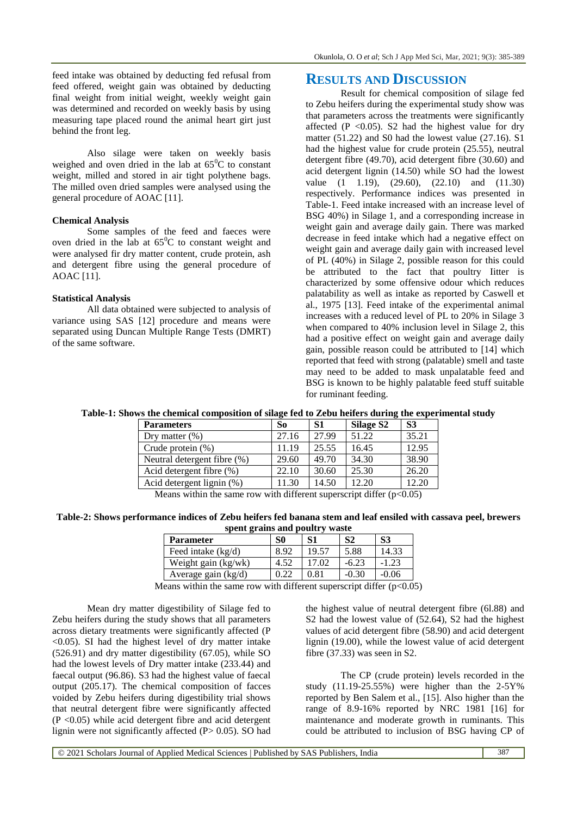Also silage were taken on weekly basis weighed and oven dried in the lab at  $65^{\circ}$ C to constant weight, milled and stored in air tight polythene bags. The milled oven dried samples were analysed using the general procedure of AOAC [11].

#### **Chemical Analysis**

Some samples of the feed and faeces were oven dried in the lab at  $65^{\circ}$ C to constant weight and were analysed fir dry matter content, crude protein, ash and detergent fibre using the general procedure of AOAC [11].

#### **Statistical Analysis**

All data obtained were subjected to analysis of variance using SAS [12] procedure and means were separated using Duncan Multiple Range Tests (DMRT) of the same software.

## **RESULTS AND DISCUSSION**

Result for chemical composition of silage fed to Zebu heifers during the experimental study show was that parameters across the treatments were significantly affected (P < 0.05). S2 had the highest value for dry matter (51.22) and S0 had the lowest value (27.16). S1 had the highest value for crude protein (25.55), neutral detergent fibre (49.70), acid detergent fibre (30.60) and acid detergent lignin (14.50) while SO had the lowest value (1 1.19), (29.60), (22.10) and (11.30) respectively. Performance indices was presented in Table-1. Feed intake increased with an increase level of BSG 40%) in Silage 1, and a corresponding increase in weight gain and average daily gain. There was marked decrease in feed intake which had a negative effect on weight gain and average daily gain with increased level of PL (40%) in Silage 2, possible reason for this could be attributed to the fact that poultry Iitter is characterized by some offensive odour which reduces palatability as well as intake as reported by Caswell et al., 1975 [13]. Feed intake of the experimental animal increases with a reduced level of PL to 20% in Silage 3 when compared to 40% inclusion level in Silage 2, this had a positive effect on weight gain and average daily gain, possible reason could be attributed to [14] which reported that feed with strong (palatable) smell and taste may need to be added to mask unpalatable feed and BSG is known to be highly palatable feed stuff suitable for ruminant feeding.

#### **Table-1: Shows the chemical composition of silage fed to Zebu heifers during the experimental study**

| <b>Parameters</b>           | So    | S <sub>1</sub> | Silage S <sub>2</sub> | S <sub>3</sub> |
|-----------------------------|-------|----------------|-----------------------|----------------|
| Dry matter $(\%)$           | 27.16 | 27.99          | 51.22                 | 35.21          |
| Crude protein $(\%)$        | 11.19 | 25.55          | 16.45                 | 12.95          |
| Neutral detergent fibre (%) | 29.60 | 49.70          | 34.30                 | 38.90          |
| Acid detergent fibre (%)    | 22.10 | 30.60          | 25.30                 | 26.20          |
| Acid detergent lignin (%)   | 11.30 | 14.50          | 12.20                 | 12.20          |

Means within the same row with different superscript differ  $(p<0.05)$ 

#### **Table-2: Shows performance indices of Zebu heifers fed banana stem and leaf ensiled with cassava peel, brewers spent grains and poultry waste**

| spent gruns und pount<br>******* |      |       |                |               |  |  |  |
|----------------------------------|------|-------|----------------|---------------|--|--|--|
| <b>Parameter</b>                 | S0   | S1    | S <sub>2</sub> | <b>S3</b>     |  |  |  |
| Feed intake (kg/d)               | 8.92 | 19.57 | 5.88           | 14.33         |  |  |  |
| Weight gain (kg/wk)              | 4.52 | 17.02 | $-6.23$        | $-1.23$       |  |  |  |
| Average gain $(kg/d)$            | 0.22 | 0.81  | $-0.30$        | $-0.06$       |  |  |  |
| $\cdots$                         |      |       | $\cdots$       | $\sim$ $\sim$ |  |  |  |

Means within the same row with different superscript differ  $(p<0.05)$ 

Mean dry matter digestibility of Silage fed to Zebu heifers during the study shows that all parameters across dietary treatments were significantly affected (P  $\leq$ 0.05). SI had the highest level of dry matter intake (526.91) and dry matter digestibility (67.05), while SO had the lowest levels of Dry matter intake (233.44) and faecal output (96.86). S3 had the highest value of faecal output (205.17). The chemical composition of facces voided by Zebu heifers during digestibility trial shows that neutral detergent fibre were significantly affected  $(P \le 0.05)$  while acid detergent fibre and acid detergent lignin were not significantly affected (P> 0.05). SO had

the highest value of neutral detergent fibre (6l.88) and S2 had the lowest value of (52.64), S2 had the highest values of acid detergent fibre (58.90) and acid detergent lignin (19.00), while the lowest value of acid detergent fibre (37.33) was seen in S2.

The CP (crude protein) levels recorded in the study (11.19-25.55%) were higher than the 2-5Y% reported by Ben Salem et al., [15]. Also higher than the range of 8.9-16% reported by NRC 1981 [16] for maintenance and moderate growth in ruminants. This could be attributed to inclusion of BSG having CP of

© 2021 Scholars Journal of Applied Medical Sciences | Published by SAS Publishers, India 387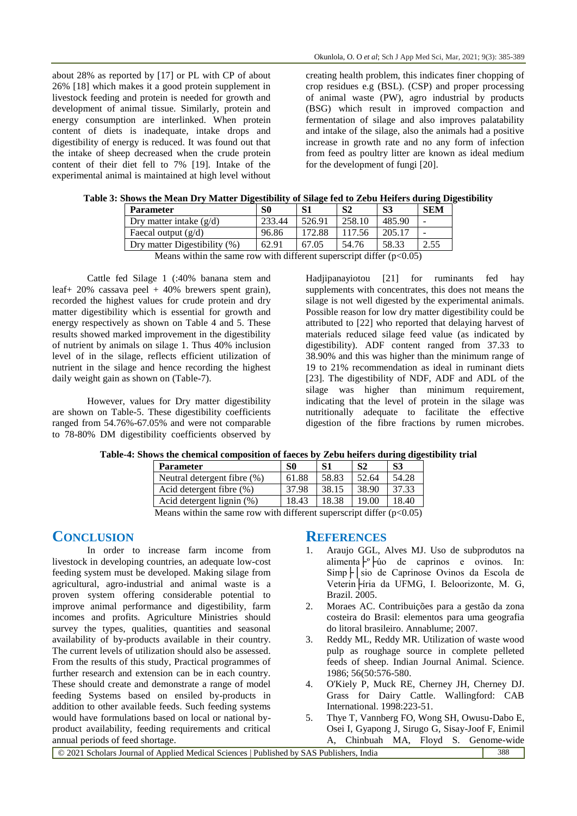about 28% as reported by [17] or PL with CP of about 26% [18] which makes it a good protein supplement in livestock feeding and protein is needed for growth and development of animal tissue. Similarly, protein and energy consumption are interlinked. When protein content of diets is inadequate, intake drops and digestibility of energy is reduced. It was found out that the intake of sheep decreased when the crude protein content of their diet fell to 7% [19]. Intake of the experimental animal is maintained at high level without creating health problem, this indicates finer chopping of crop residues e.g (BSL). (CSP) and proper processing of animal waste (PW), agro industrial by products (BSG) which result in improved compaction and fermentation of silage and also improves palatability and intake of the silage, also the animals had a positive increase in growth rate and no any form of infection from feed as poultry litter are known as ideal medium for the development of fungi [20].

| ie 3: Shows the Mean Dry Matter Digestibility of Shage led to Zebu Heilers during Digestib |                           |        |        |        |        |            |  |
|--------------------------------------------------------------------------------------------|---------------------------|--------|--------|--------|--------|------------|--|
|                                                                                            | <b>Parameter</b>          | S0     |        |        |        | <b>SEM</b> |  |
|                                                                                            | Drv matter intake $(g/d)$ | 233.44 | 526.91 | 258.10 | 485.90 |            |  |
|                                                                                            | Faecal output $(g/d)$     | 96.86  | 172.88 | 117.56 | 205.17 |            |  |

|  |  | Table 3: Shows the Mean Dry Matter Digestibility of Silage fed to Zebu Heifers during Digestibility |  |  |  |  |
|--|--|-----------------------------------------------------------------------------------------------------|--|--|--|--|
|  |  |                                                                                                     |  |  |  |  |

Dry matter Digestibility (%) 62.91 67.05 54.76 58.33 2.55 Means within the same row with different superscript differ  $(p<0.05)$ 

Cattle fed Silage 1 (:40% banana stem and leaf + 20% cassava peel + 40% brewers spent grain), recorded the highest values for crude protein and dry matter digestibility which is essential for growth and energy respectively as shown on Table 4 and 5. These results showed marked improvement in the digestibility of nutrient by animals on silage 1. Thus 40% inclusion level of in the silage, reflects efficient utilization of nutrient in the silage and hence recording the highest daily weight gain as shown on (Table-7).

However, values for Dry matter digestibility are shown on Table-5. These digestibility coefficients ranged from 54.76%-67.05% and were not comparable to 78-80% DM digestibility coefficients observed by

Hadjipanayiotou [21] for ruminants fed hay supplements with concentrates, this does not means the silage is not well digested by the experimental animals. Possible reason for low dry matter digestibility could be attributed to [22] who reported that delaying harvest of materials reduced silage feed value (as indicated by digestibility). ADF content ranged from 37.33 to 38.90% and this was higher than the minimum range of 19 to 21% recommendation as ideal in ruminant diets [23]. The digestibility of NDF, ADF and ADL of the silage was higher than minimum requirement, indicating that the level of protein in the silage was nutritionally adequate to facilitate the effective digestion of the fibre fractions by rumen microbes.

| <b>Parameter</b>                                                                                                                            | S0    |       | S <sub>2</sub> | S3    |  |  |
|---------------------------------------------------------------------------------------------------------------------------------------------|-------|-------|----------------|-------|--|--|
| Neutral detergent fibre (%)                                                                                                                 | 61.88 | 58.83 | 52.64          | 54.28 |  |  |
| Acid detergent fibre $(\%)$                                                                                                                 | 37.98 | 38.15 | 38.90          | 37.33 |  |  |
| Acid detergent lignin (%)                                                                                                                   | 18.43 | 18.38 | 19.00          | 18.40 |  |  |
| $M_{\text{max}}$ $\ldots$ ; the the same near $\ldots$ ; the different consequent of $\mathrm{d}(\mathcal{C}_{\text{max}})$ (x $\leq$ 0.05) |       |       |                |       |  |  |

| Table-4: Shows the chemical composition of faeces by Zebu heifers during digestibility trial |  |  |  |  |
|----------------------------------------------------------------------------------------------|--|--|--|--|
|                                                                                              |  |  |  |  |

Means within the same row with different superscript differ  $(p<0.05)$ 

## **CONCLUSION**

In order to increase farm income from livestock in developing countries, an adequate low-cost feeding system must be developed. Making silage from agricultural, agro-industrial and animal waste is a proven system offering considerable potential to improve animal performance and digestibility, farm incomes and profits. Agriculture Ministries should survey the types, qualities, quantities and seasonal availability of by-products available in their country. The current levels of utilization should also be assessed. From the results of this study, Practical programmes of further research and extension can be in each country. These should create and demonstrate a range of model feeding Systems based on ensiled by-products in addition to other available feeds. Such feeding systems would have formulations based on local or national byproduct availability, feeding requirements and critical annual periods of feed shortage.

### **REFERENCES**

- 1. Araujo GGL, Alves MJ. Uso de subprodutos na alimenta $\vdash^{\circ}$   $\vdash$  úo de caprinos e ovinos. In: Simp├│sio de Caprinose Ovinos da Escola de Veterin<sup>L</sup>iria da UFMG, I. Beloorizonte, M. G, Brazil. 2005.
- 2. Moraes AC. Contribuições para a gestão da zona costeira do Brasil: elementos para uma geografia do litoral brasileiro. Annablume; 2007.
- 3. Reddy ML, Reddy MR. Utilization of waste wood pulp as roughage source in complete pelleted feeds of sheep. Indian Journal Animal. Science. 1986; 56(50:576-580.
- 4. O'Kiely P, Muck RE, Cherney JH, Cherney DJ. Grass for Dairy Cattle. Wallingford: CAB International. 1998:223-51.
- 5. Thye T, Vannberg FO, Wong SH, Owusu-Dabo E, Osei I, Gyapong J, Sirugo G, Sisay-Joof F, Enimil A, Chinbuah MA, Floyd S. Genome-wide

| 1 Scholars Journal of Applied Medical Sciences   Published by SAS Publishers. 1<br>$\sim$ 202<br>. India | 388 |
|----------------------------------------------------------------------------------------------------------|-----|